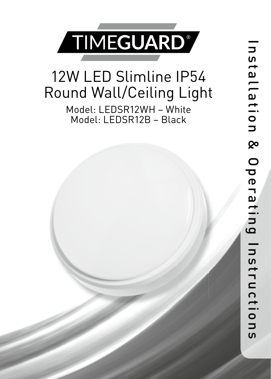

## 12W LED Slimline IP54 Round Wall/Ceiling Light

Model: LEDSR12WH – White Model: LEDSR12B – Black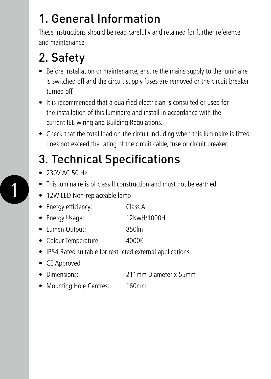### 1. General Information

These instructions should be read carefully and retained for further reference and maintenance.

## 2. Safety

- Before installation or maintenance, ensure the mains supply to the luminaire is switched off and the circuit supply fuses are removed or the circuit breaker turned off.
- It is recommended that a qualified electrician is consulted or used for the installation of this luminaire and install in accordance with the current IEE wiring and Building Regulations.
- Check that the total load on the circuit including when this luminaire is fitted does not exceed the rating of the circuit cable, fuse or circuit breaker.

## 3. Technical Specifications

• 230V AC 50 Hz

1

- This luminaire is of class II construction and must not be earthed
- 12W LED Non-replaceable lamp
- Energy efficiency: Class A
- Energy Usage: 12KwH/1000H
- Lumen Output: 850lm
- Colour Temperature: 4000K
- IP54 Rated suitable for restricted external applications
- CE Approved
- Dimensions: 211mm Diameter x 55mm
- Mounting Hole Centres: 160mm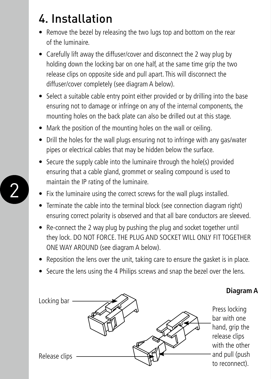## 4. Installation

- Remove the bezel by releasing the two lugs top and bottom on the rear of the luminaire.
- Carefully lift away the diffuser/cover and disconnect the 2 way plug by holding down the locking bar on one half, at the same time grip the two release clips on opposite side and pull apart. This will disconnect the diffuser/cover completely (see diagram A below).
- Select a suitable cable entry point either provided or by drilling into the base ensuring not to damage or infringe on any of the internal components, the mounting holes on the back plate can also be drilled out at this stage.
- Mark the position of the mounting holes on the wall or ceiling.
- Drill the holes for the wall plugs ensuring not to infringe with any gas/water pipes or electrical cables that may be hidden below the surface.
- Secure the supply cable into the luminaire through the hole(s) provided ensuring that a cable gland, grommet or sealing compound is used to maintain the IP rating of the luminaire.
- Fix the luminaire using the correct screws for the wall plugs installed.
- Terminate the cable into the terminal block (see connection diagram right) ensuring correct polarity is observed and that all bare conductors are sleeved.
- Re-connect the 2 way plug by pushing the plug and socket together until they lock. DO NOT FORCE. THE PLUG AND SOCKET WILL ONLY FIT TOGETHER ONE WAY AROUND (see diagram A below).
- Reposition the lens over the unit, taking care to ensure the gasket is in place.
- Secure the lens using the 4 Philips screws and snap the bezel over the lens.



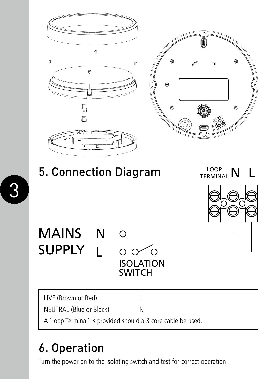

### 6. Operation

Turn the power on to the isolating switch and test for correct operation.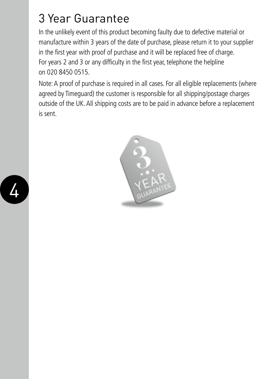#### 3 Year Guarantee

In the unlikely event of this product becoming faulty due to defective material or manufacture within 3 years of the date of purchase, please return it to your supplier in the first year with proof of purchase and it will be replaced free of charge. For years 2 and 3 or any difficulty in the first year, telephone the helpline on 020 8450 0515.

Note: A proof of purchase is required in all cases. For all eligible replacements (where agreed by Timeguard) the customer is responsible for all shipping/postage charges outside of the UK. All shipping costs are to be paid in advance before a replacement is sent.